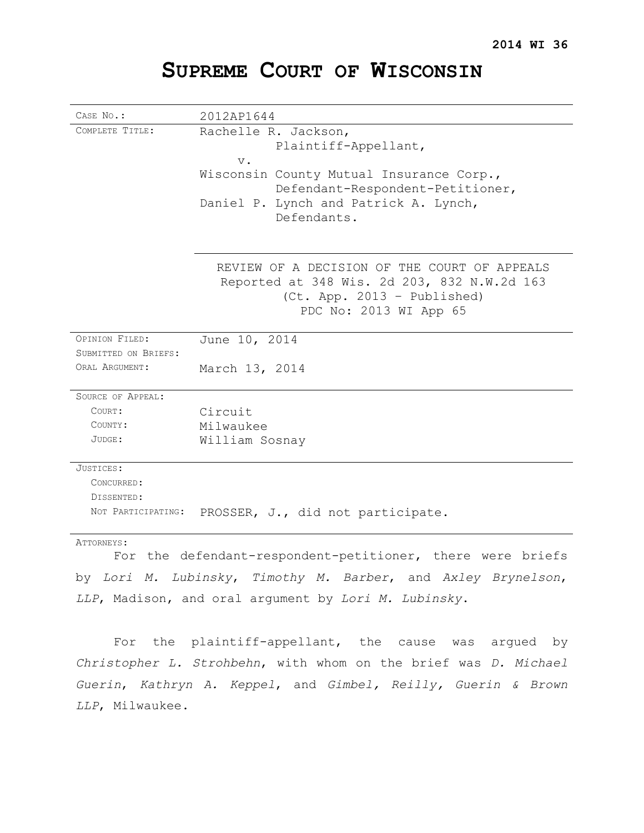# **SUPREME COURT OF WISCONSIN**

| CASE NO.:            | 2012AP1644                                                                                                                                                                                    |
|----------------------|-----------------------------------------------------------------------------------------------------------------------------------------------------------------------------------------------|
| COMPLETE TITLE:      | Rachelle R. Jackson,<br>Plaintiff-Appellant,<br>$V$ .<br>Wisconsin County Mutual Insurance Corp.,<br>Defendant-Respondent-Petitioner,<br>Daniel P. Lynch and Patrick A. Lynch,<br>Defendants. |
|                      | REVIEW OF A DECISION OF THE COURT OF APPEALS<br>Reported at 348 Wis. 2d 203, 832 N.W.2d 163<br>(Ct. App. 2013 - Published)<br>PDC No: 2013 WI App 65                                          |
| OPINION FILED:       | June 10, 2014                                                                                                                                                                                 |
| SUBMITTED ON BRIEFS: |                                                                                                                                                                                               |
| ORAL ARGUMENT:       | March 13, 2014                                                                                                                                                                                |
| SOURCE OF APPEAL:    |                                                                                                                                                                                               |
| COURT:               | Circuit                                                                                                                                                                                       |
| COUNTY:              | Milwaukee                                                                                                                                                                                     |
| JUDGE:               | William Sosnay                                                                                                                                                                                |
| JUSTICES:            |                                                                                                                                                                                               |
| CONCURRED:           |                                                                                                                                                                                               |
| DISSENTED:           |                                                                                                                                                                                               |
| NOT PARTICIPATING:   | PROSSER, J., did not participate.                                                                                                                                                             |
| ATTORNEYS:           | For the defendant-respondent-petitioner, there were briefs                                                                                                                                    |
|                      | by Lori M. Lubinsky, Timothy M. Barber, and Axley Brynelson,                                                                                                                                  |
|                      | LLP, Madison, and oral argument by Lori M. Lubinsky.                                                                                                                                          |

For the plaintiff-appellant, the cause was argued by *Christopher L. Strohbehn*, with whom on the brief was *D. Michael Guerin*, *Kathryn A. Keppel*, and *Gimbel, Reilly, Guerin & Brown LLP*, Milwaukee.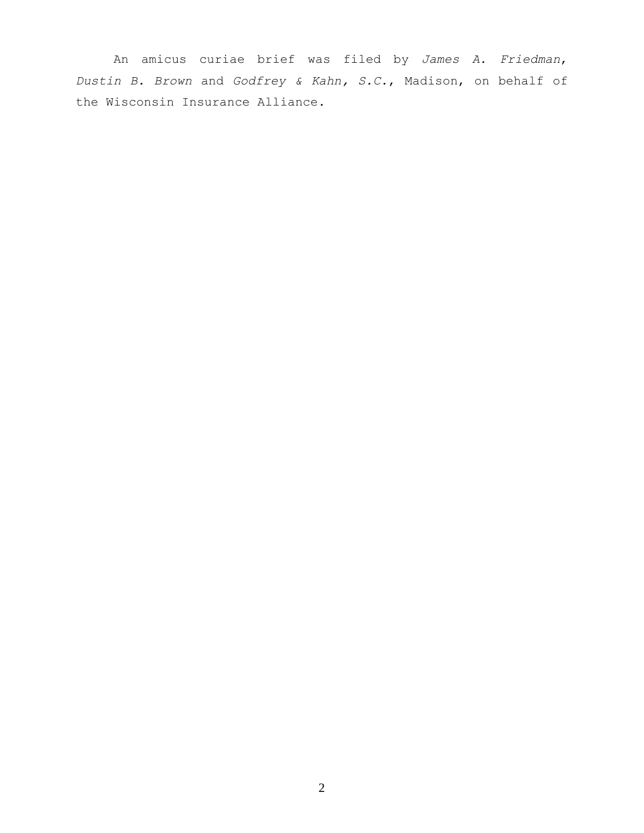An amicus curiae brief was filed by *James A. Friedman*, *Dustin B. Brown* and *Godfrey & Kahn, S.C.*, Madison, on behalf of the Wisconsin Insurance Alliance.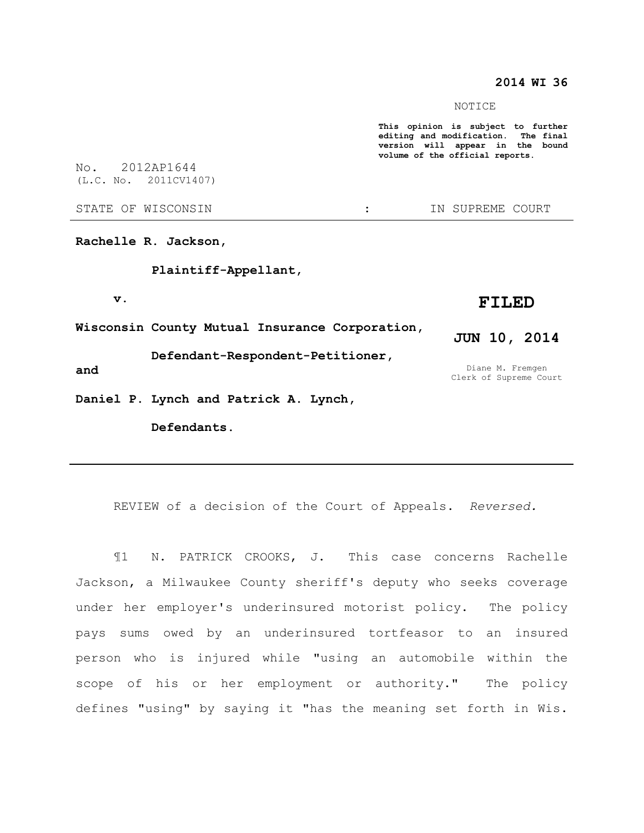## **2014 WI 36**

NOTICE

**This opinion is subject to further editing and modification. The final version will appear in the bound volume of the official reports.** 

No. 2012AP1644 (L.C. No. 2011CV1407)

STATE OF WISCONSIN THE RESERVE STATE OF WISCONSIN THE SERVER SOURT

**Rachelle R. Jackson,** 

**Plaintiff-Appellant,** 

**v.**

**Wisconsin County Mutual Insurance Corporation,** 

**Defendant-Respondent-Petitioner,**

**and**

**Daniel P. Lynch and Patrick A. Lynch,** 

**Defendants.**

**FILED**

**JUN 10, 2014**

Diane M. Fremgen Clerk of Supreme Court

REVIEW of a decision of the Court of Appeals. *Reversed.*

¶1 N. PATRICK CROOKS, J. This case concerns Rachelle Jackson, a Milwaukee County sheriff's deputy who seeks coverage under her employer's underinsured motorist policy. The policy pays sums owed by an underinsured tortfeasor to an insured person who is injured while "using an automobile within the scope of his or her employment or authority." The policy defines "using" by saying it "has the meaning set forth in Wis.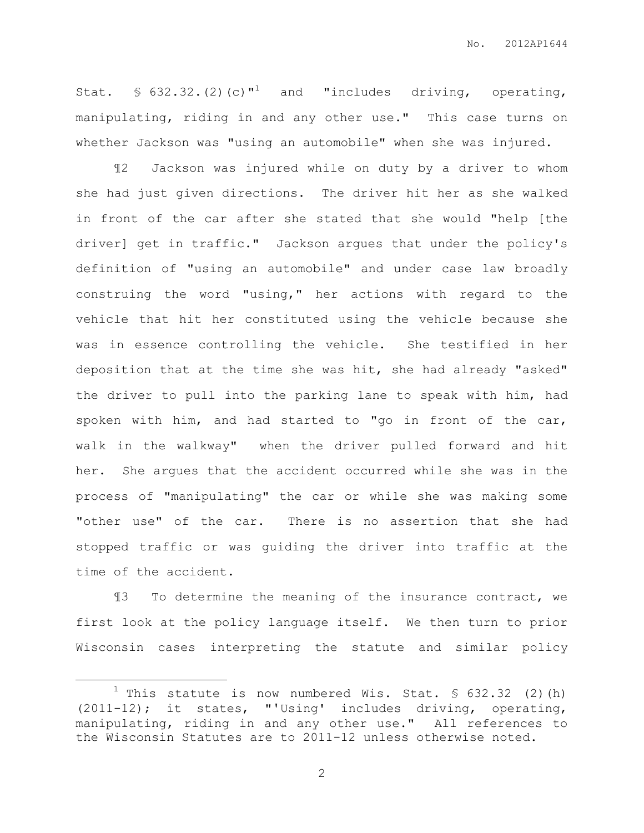Stat.  $\text{\$} 632.32.$  (2) (c)  $^{\text{1}}$  and "includes driving, operating, manipulating, riding in and any other use." This case turns on whether Jackson was "using an automobile" when she was injured.

¶2 Jackson was injured while on duty by a driver to whom she had just given directions. The driver hit her as she walked in front of the car after she stated that she would "help [the driver] get in traffic." Jackson argues that under the policy's definition of "using an automobile" and under case law broadly construing the word "using," her actions with regard to the vehicle that hit her constituted using the vehicle because she was in essence controlling the vehicle. She testified in her deposition that at the time she was hit, she had already "asked" the driver to pull into the parking lane to speak with him, had spoken with him, and had started to "go in front of the car, walk in the walkway" when the driver pulled forward and hit her. She argues that the accident occurred while she was in the process of "manipulating" the car or while she was making some "other use" of the car. There is no assertion that she had stopped traffic or was guiding the driver into traffic at the time of the accident.

¶3 To determine the meaning of the insurance contract, we first look at the policy language itself. We then turn to prior Wisconsin cases interpreting the statute and similar policy

 $\overline{a}$ 

<sup>&</sup>lt;sup>1</sup> This statute is now numbered Wis. Stat. § 632.32 (2)(h) (2011-12); it states, "'Using' includes driving, operating, manipulating, riding in and any other use." All references to the Wisconsin Statutes are to 2011-12 unless otherwise noted.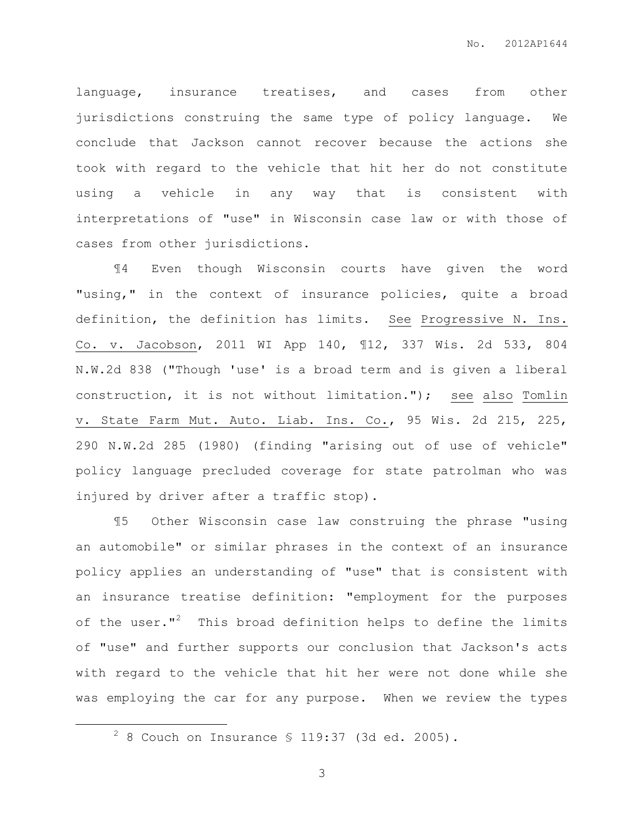language, insurance treatises, and cases from other jurisdictions construing the same type of policy language. We conclude that Jackson cannot recover because the actions she took with regard to the vehicle that hit her do not constitute using a vehicle in any way that is consistent with interpretations of "use" in Wisconsin case law or with those of cases from other jurisdictions.

¶4 Even though Wisconsin courts have given the word "using," in the context of insurance policies, quite a broad definition, the definition has limits. See Progressive N. Ins. Co. v. Jacobson, 2011 WI App 140, ¶12, 337 Wis. 2d 533, 804 N.W.2d 838 ("Though 'use' is a broad term and is given a liberal construction, it is not without limitation."); see also Tomlin v. State Farm Mut. Auto. Liab. Ins. Co., 95 Wis. 2d 215, 225, 290 N.W.2d 285 (1980) (finding "arising out of use of vehicle" policy language precluded coverage for state patrolman who was injured by driver after a traffic stop).

¶5 Other Wisconsin case law construing the phrase "using an automobile" or similar phrases in the context of an insurance policy applies an understanding of "use" that is consistent with an insurance treatise definition: "employment for the purposes of the user."<sup>2</sup> This broad definition helps to define the limits of "use" and further supports our conclusion that Jackson's acts with regard to the vehicle that hit her were not done while she was employing the car for any purpose. When we review the types

 $\overline{a}$ 

 $2^2$  8 Couch on Insurance § 119:37 (3d ed. 2005).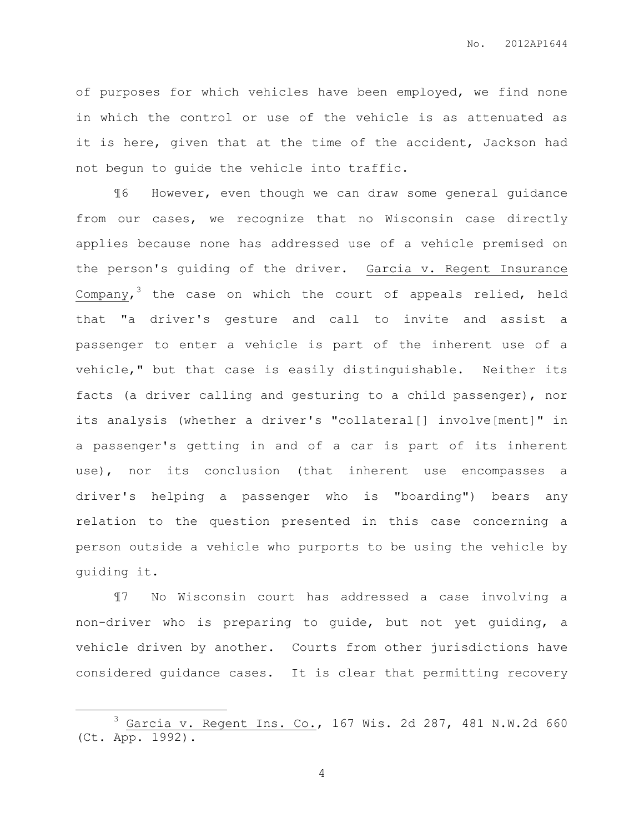of purposes for which vehicles have been employed, we find none in which the control or use of the vehicle is as attenuated as it is here, given that at the time of the accident, Jackson had not begun to guide the vehicle into traffic.

¶6 However, even though we can draw some general guidance from our cases, we recognize that no Wisconsin case directly applies because none has addressed use of a vehicle premised on the person's guiding of the driver. Garcia v. Regent Insurance Company, $^3$  the case on which the court of appeals relied, held that "a driver's gesture and call to invite and assist a passenger to enter a vehicle is part of the inherent use of a vehicle," but that case is easily distinguishable. Neither its facts (a driver calling and gesturing to a child passenger), nor its analysis (whether a driver's "collateral[] involve[ment]" in a passenger's getting in and of a car is part of its inherent use), nor its conclusion (that inherent use encompasses a driver's helping a passenger who is "boarding") bears any relation to the question presented in this case concerning a person outside a vehicle who purports to be using the vehicle by guiding it.

¶7 No Wisconsin court has addressed a case involving a non-driver who is preparing to guide, but not yet guiding, a vehicle driven by another. Courts from other jurisdictions have considered guidance cases. It is clear that permitting recovery

 $\overline{a}$ 

 $3$  Garcia v. Regent Ins. Co., 167 Wis. 2d 287, 481 N.W.2d 660 (Ct. App. 1992).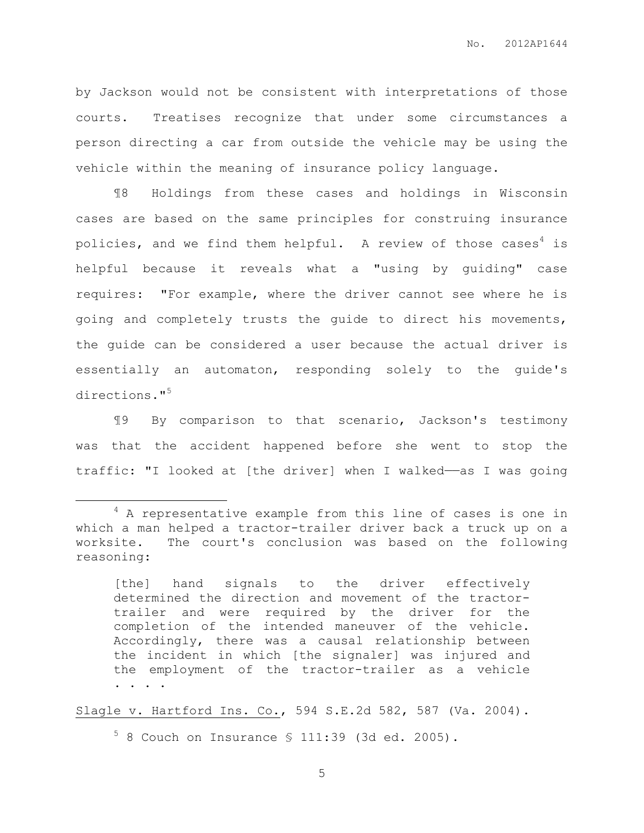by Jackson would not be consistent with interpretations of those courts. Treatises recognize that under some circumstances a person directing a car from outside the vehicle may be using the vehicle within the meaning of insurance policy language.

¶8 Holdings from these cases and holdings in Wisconsin cases are based on the same principles for construing insurance policies, and we find them helpful. A review of those cases<sup>4</sup> is helpful because it reveals what a "using by guiding" case requires: "For example, where the driver cannot see where he is going and completely trusts the guide to direct his movements, the guide can be considered a user because the actual driver is essentially an automaton, responding solely to the guide's directions."<sup>5</sup>

¶9 By comparison to that scenario, Jackson's testimony was that the accident happened before she went to stop the traffic: "I looked at [the driver] when I walked——as I was going

 $\overline{a}$ 

Slagle v. Hartford Ins. Co., 594 S.E.2d 582, 587 (Va. 2004).

 $5$  8 Couch on Insurance § 111:39 (3d ed. 2005).

<sup>&</sup>lt;sup>4</sup> A representative example from this line of cases is one in which a man helped a tractor-trailer driver back a truck up on a worksite. The court's conclusion was based on the following reasoning:

<sup>[</sup>the] hand signals to the driver effectively determined the direction and movement of the tractortrailer and were required by the driver for the completion of the intended maneuver of the vehicle. Accordingly, there was a causal relationship between the incident in which [the signaler] was injured and the employment of the tractor-trailer as a vehicle . . . .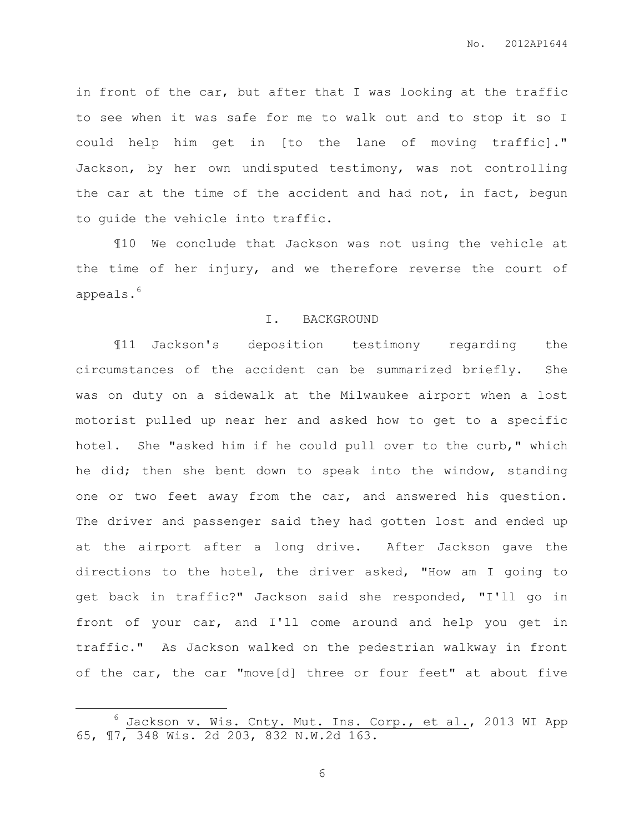in front of the car, but after that I was looking at the traffic to see when it was safe for me to walk out and to stop it so I could help him get in [to the lane of moving traffic]." Jackson, by her own undisputed testimony, was not controlling the car at the time of the accident and had not, in fact, begun to guide the vehicle into traffic.

¶10 We conclude that Jackson was not using the vehicle at the time of her injury, and we therefore reverse the court of appeals. 6

#### I. BACKGROUND

¶11 Jackson's deposition testimony regarding the circumstances of the accident can be summarized briefly. She was on duty on a sidewalk at the Milwaukee airport when a lost motorist pulled up near her and asked how to get to a specific hotel. She "asked him if he could pull over to the curb," which he did; then she bent down to speak into the window, standing one or two feet away from the car, and answered his question. The driver and passenger said they had gotten lost and ended up at the airport after a long drive. After Jackson gave the directions to the hotel, the driver asked, "How am I going to get back in traffic?" Jackson said she responded, "I'll go in front of your car, and I'll come around and help you get in traffic." As Jackson walked on the pedestrian walkway in front of the car, the car "move[d] three or four feet" at about five

 $\overline{a}$ 

<sup>&</sup>lt;sup>6</sup> Jackson v. Wis. Cnty. Mut. Ins. Corp., et al., 2013 WI App 65, ¶7, 348 Wis. 2d 203, 832 N.W.2d 163.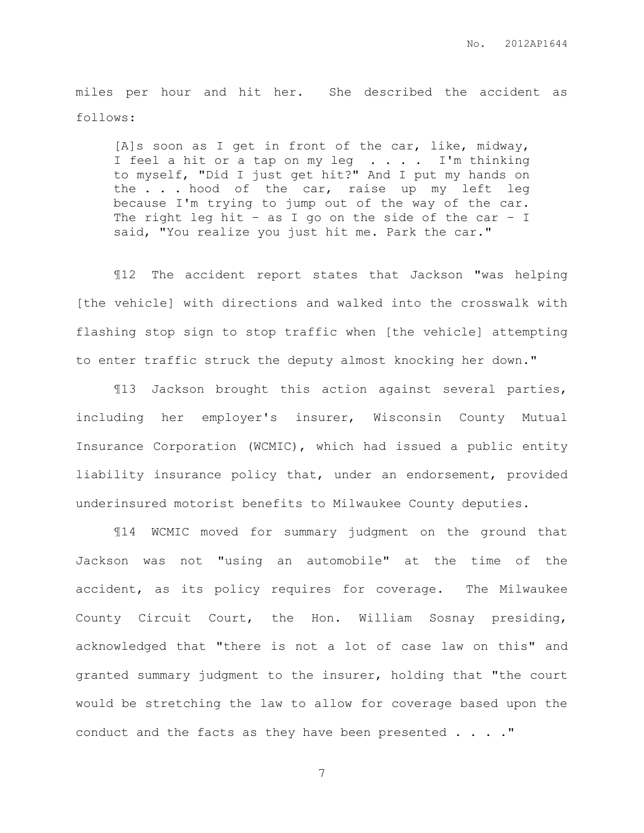miles per hour and hit her. She described the accident as follows:

[A]s soon as I get in front of the car, like, midway, I feel a hit or a tap on my leg . . . . I'm thinking to myself, "Did I just get hit?" And I put my hands on the . . . hood of the car, raise up my left leg because I'm trying to jump out of the way of the car. The right leg hit - as I go on the side of the car - I said, "You realize you just hit me. Park the car."

¶12 The accident report states that Jackson "was helping [the vehicle] with directions and walked into the crosswalk with flashing stop sign to stop traffic when [the vehicle] attempting to enter traffic struck the deputy almost knocking her down."

¶13 Jackson brought this action against several parties, including her employer's insurer, Wisconsin County Mutual Insurance Corporation (WCMIC), which had issued a public entity liability insurance policy that, under an endorsement, provided underinsured motorist benefits to Milwaukee County deputies.

¶14 WCMIC moved for summary judgment on the ground that Jackson was not "using an automobile" at the time of the accident, as its policy requires for coverage. The Milwaukee County Circuit Court, the Hon. William Sosnay presiding, acknowledged that "there is not a lot of case law on this" and granted summary judgment to the insurer, holding that "the court would be stretching the law to allow for coverage based upon the conduct and the facts as they have been presented . . . ."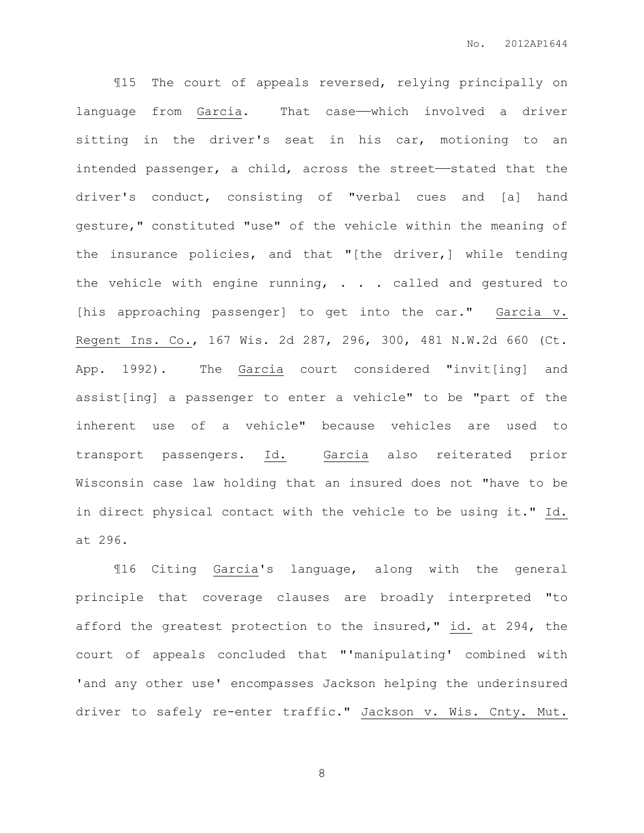¶15 The court of appeals reversed, relying principally on language from Garcia. That case——which involved a driver sitting in the driver's seat in his car, motioning to an intended passenger, a child, across the street—stated that the driver's conduct, consisting of "verbal cues and [a] hand gesture," constituted "use" of the vehicle within the meaning of the insurance policies, and that "[the driver,] while tending the vehicle with engine running, . . . called and gestured to [his approaching passenger] to get into the car." Garcia v. Regent Ins. Co., 167 Wis. 2d 287, 296, 300, 481 N.W.2d 660 (Ct. App. 1992). The Garcia court considered "invit[ing] and assist[ing] a passenger to enter a vehicle" to be "part of the inherent use of a vehicle" because vehicles are used to transport passengers. Id. Garcia also reiterated prior Wisconsin case law holding that an insured does not "have to be in direct physical contact with the vehicle to be using it." Id. at 296.

¶16 Citing Garcia's language, along with the general principle that coverage clauses are broadly interpreted "to afford the greatest protection to the insured," id. at 294, the court of appeals concluded that "'manipulating' combined with 'and any other use' encompasses Jackson helping the underinsured driver to safely re-enter traffic." Jackson v. Wis. Cnty. Mut.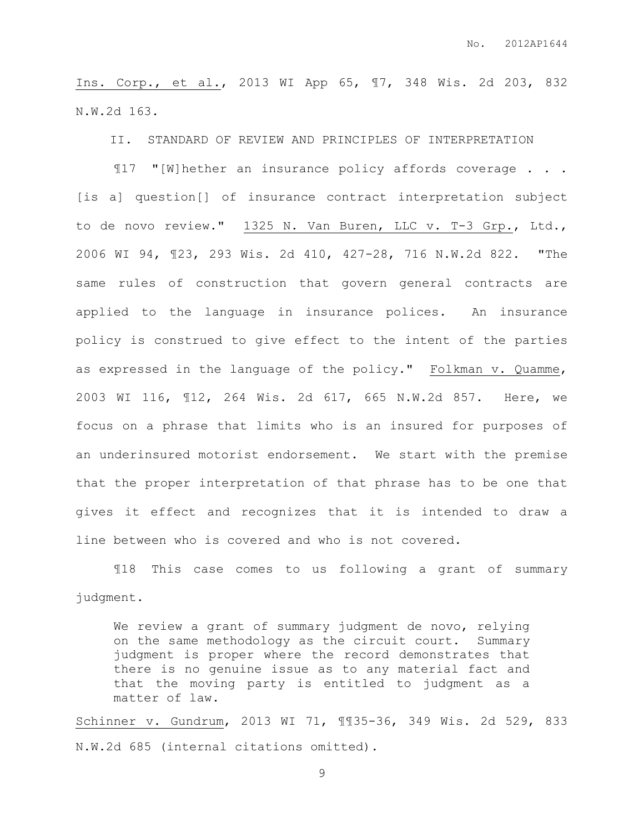Ins. Corp., et al., 2013 WI App 65, ¶7, 348 Wis. 2d 203, 832 N.W.2d 163.

II. STANDARD OF REVIEW AND PRINCIPLES OF INTERPRETATION

¶17 "[W]hether an insurance policy affords coverage . . . [is a] question[] of insurance contract interpretation subject to de novo review." 1325 N. Van Buren, LLC v. T-3 Grp., Ltd., 2006 WI 94, ¶23, 293 Wis. 2d 410, 427-28, 716 N.W.2d 822. "The same rules of construction that govern general contracts are applied to the language in insurance polices. An insurance policy is construed to give effect to the intent of the parties as expressed in the language of the policy." Folkman v. Quamme, 2003 WI 116, ¶12, 264 Wis. 2d 617, 665 N.W.2d 857. Here, we focus on a phrase that limits who is an insured for purposes of an underinsured motorist endorsement. We start with the premise that the proper interpretation of that phrase has to be one that gives it effect and recognizes that it is intended to draw a line between who is covered and who is not covered.

¶18 This case comes to us following a grant of summary judgment.

We review a grant of summary judgment de novo, relying on the same methodology as the circuit court. Summary judgment is proper where the record demonstrates that there is no genuine issue as to any material fact and that the moving party is entitled to judgment as a matter of law.

Schinner v. Gundrum, 2013 WI 71, ¶¶35-36, 349 Wis. 2d 529, 833 N.W.2d 685 (internal citations omitted).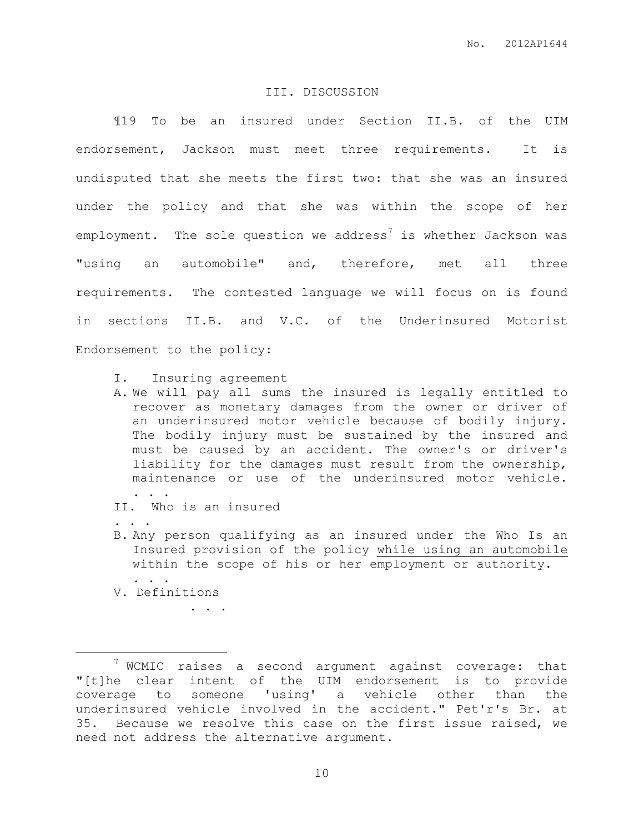### III. DISCUSSION

¶19 To be an insured under Section II.B. of the UIM endorsement, Jackson must meet three requirements. It is undisputed that she meets the first two: that she was an insured under the policy and that she was within the scope of her employment. The sole question we address<sup>7</sup> is whether Jackson was "using an automobile" and, therefore, met all three requirements. The contested language we will focus on is found in sections II.B. and V.C. of the Underinsured Motorist Endorsement to the policy:

- I. Insuring agreement
- A. We will pay all sums the insured is legally entitled to recover as monetary damages from the owner or driver of an underinsured motor vehicle because of bodily injury. The bodily injury must be sustained by the insured and must be caused by an accident. The owner's or driver's liability for the damages must result from the ownership, maintenance or use of the underinsured motor vehicle. . . .
- II. Who is an insured

. . .

. . .

 $\overline{a}$ 

B. Any person qualifying as an insured under the Who Is an Insured provision of the policy while using an automobile within the scope of his or her employment or authority. . . .

V. Definitions

 $7$  WCMIC raises a second argument against coverage: that "[t]he clear intent of the UIM endorsement is to provide coverage to someone 'using' a vehicle other than the underinsured vehicle involved in the accident." Pet'r's Br. at 35. Because we resolve this case on the first issue raised, we need not address the alternative argument.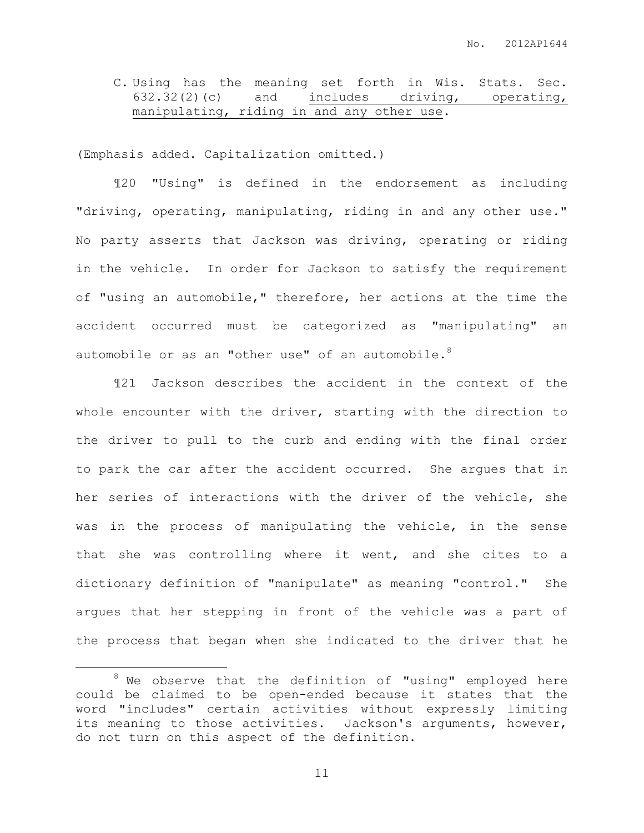C. Using has the meaning set forth in Wis. Stats. Sec. 632.32(2)(c) and includes driving, operating, manipulating, riding in and any other use.

(Emphasis added. Capitalization omitted.)

¶20 "Using" is defined in the endorsement as including "driving, operating, manipulating, riding in and any other use." No party asserts that Jackson was driving, operating or riding in the vehicle. In order for Jackson to satisfy the requirement of "using an automobile," therefore, her actions at the time the accident occurred must be categorized as "manipulating" an automobile or as an "other use" of an automobile. $8$ 

¶21 Jackson describes the accident in the context of the whole encounter with the driver, starting with the direction to the driver to pull to the curb and ending with the final order to park the car after the accident occurred. She argues that in her series of interactions with the driver of the vehicle, she was in the process of manipulating the vehicle, in the sense that she was controlling where it went, and she cites to a dictionary definition of "manipulate" as meaning "control." She argues that her stepping in front of the vehicle was a part of the process that began when she indicated to the driver that he

 $\overline{a}$ 

 $8$  We observe that the definition of "using" employed here could be claimed to be open-ended because it states that the word "includes" certain activities without expressly limiting its meaning to those activities. Jackson's arguments, however, do not turn on this aspect of the definition.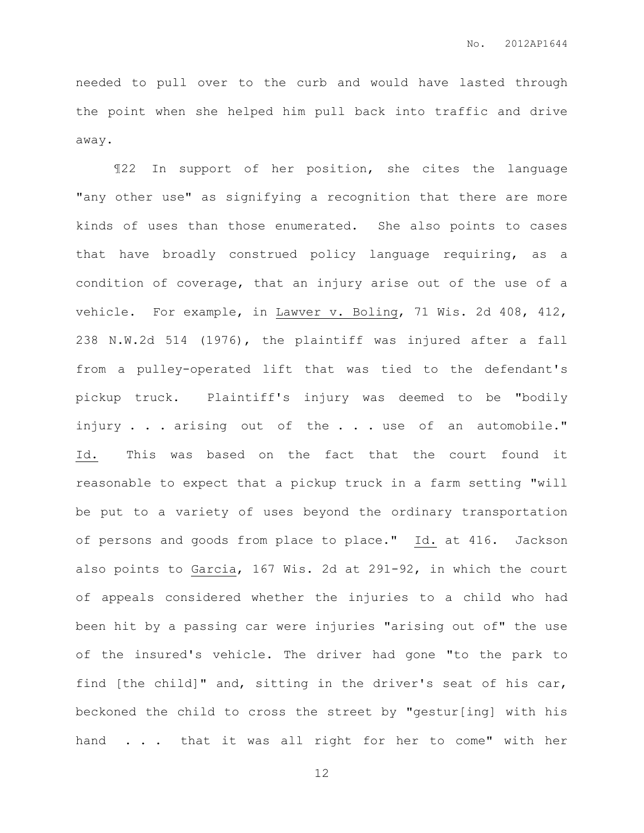needed to pull over to the curb and would have lasted through the point when she helped him pull back into traffic and drive away.

¶22 In support of her position, she cites the language "any other use" as signifying a recognition that there are more kinds of uses than those enumerated. She also points to cases that have broadly construed policy language requiring, as a condition of coverage, that an injury arise out of the use of a vehicle. For example, in Lawver v. Boling, 71 Wis. 2d 408, 412, 238 N.W.2d 514 (1976), the plaintiff was injured after a fall from a pulley-operated lift that was tied to the defendant's pickup truck. Plaintiff's injury was deemed to be "bodily injury . . . arising out of the . . . use of an automobile." Id. This was based on the fact that the court found it reasonable to expect that a pickup truck in a farm setting "will be put to a variety of uses beyond the ordinary transportation of persons and goods from place to place." Id. at 416. Jackson also points to Garcia, 167 Wis. 2d at 291-92, in which the court of appeals considered whether the injuries to a child who had been hit by a passing car were injuries "arising out of" the use of the insured's vehicle. The driver had gone "to the park to find [the child]" and, sitting in the driver's seat of his car, beckoned the child to cross the street by "gestur[ing] with his hand . . . that it was all right for her to come" with her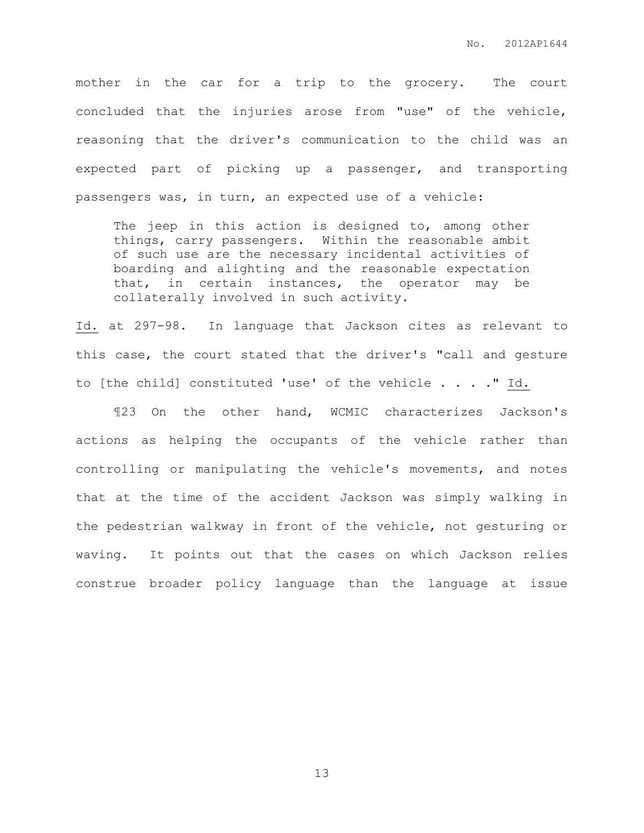mother in the car for a trip to the grocery. The court concluded that the injuries arose from "use" of the vehicle, reasoning that the driver's communication to the child was an expected part of picking up a passenger, and transporting passengers was, in turn, an expected use of a vehicle:

The jeep in this action is designed to, among other things, carry passengers. Within the reasonable ambit of such use are the necessary incidental activities of boarding and alighting and the reasonable expectation that, in certain instances, the operator may be collaterally involved in such activity.

Id. at 297-98. In language that Jackson cites as relevant to this case, the court stated that the driver's "call and gesture to [the child] constituted 'use' of the vehicle . . . ." Id.

¶23 On the other hand, WCMIC characterizes Jackson's actions as helping the occupants of the vehicle rather than controlling or manipulating the vehicle's movements, and notes that at the time of the accident Jackson was simply walking in the pedestrian walkway in front of the vehicle, not gesturing or waving. It points out that the cases on which Jackson relies construe broader policy language than the language at issue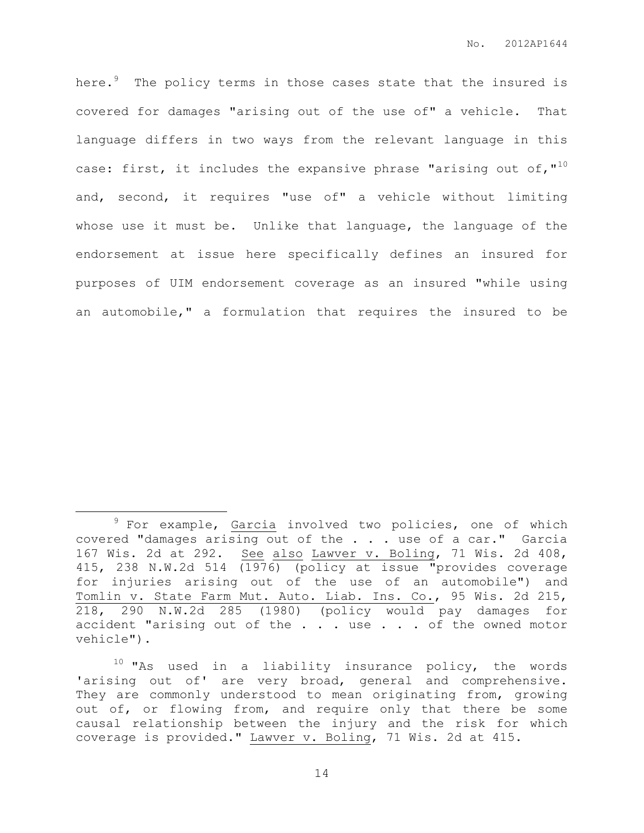here. $9$  The policy terms in those cases state that the insured is covered for damages "arising out of the use of" a vehicle. That language differs in two ways from the relevant language in this case: first, it includes the expansive phrase "arising out of,"<sup>10</sup> and, second, it requires "use of" a vehicle without limiting whose use it must be. Unlike that language, the language of the endorsement at issue here specifically defines an insured for purposes of UIM endorsement coverage as an insured "while using an automobile," a formulation that requires the insured to be

 $\overline{a}$ 

 $9$  For example, Garcia involved two policies, one of which covered "damages arising out of the . . . use of a car." Garcia 167 Wis. 2d at 292. See also Lawver v. Boling, 71 Wis. 2d 408, 415, 238 N.W.2d 514 (1976) (policy at issue "provides coverage for injuries arising out of the use of an automobile") and Tomlin v. State Farm Mut. Auto. Liab. Ins. Co., 95 Wis. 2d 215, 218, 290 N.W.2d 285 (1980) (policy would pay damages for accident "arising out of the . . . use . . . of the owned motor vehicle").

 $10$  "As used in a liability insurance policy, the words 'arising out of' are very broad, general and comprehensive. They are commonly understood to mean originating from, growing out of, or flowing from, and require only that there be some causal relationship between the injury and the risk for which coverage is provided." Lawver v. Boling, 71 Wis. 2d at 415.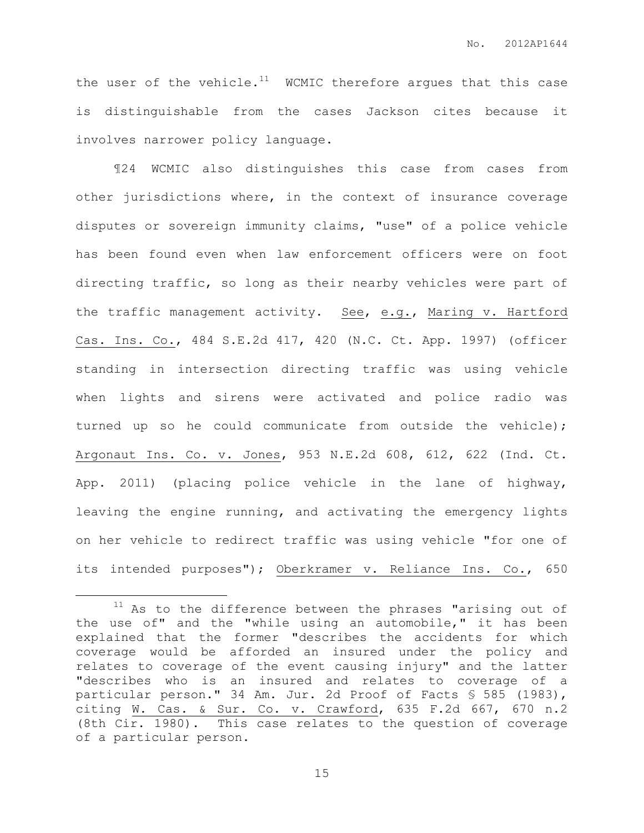the user of the vehicle.<sup>11</sup> WCMIC therefore argues that this case is distinguishable from the cases Jackson cites because it involves narrower policy language.

¶24 WCMIC also distinguishes this case from cases from other jurisdictions where, in the context of insurance coverage disputes or sovereign immunity claims, "use" of a police vehicle has been found even when law enforcement officers were on foot directing traffic, so long as their nearby vehicles were part of the traffic management activity. See, e.g., Maring v. Hartford Cas. Ins. Co., 484 S.E.2d 417, 420 (N.C. Ct. App. 1997) (officer standing in intersection directing traffic was using vehicle when lights and sirens were activated and police radio was turned up so he could communicate from outside the vehicle); Argonaut Ins. Co. v. Jones, 953 N.E.2d 608, 612, 622 (Ind. Ct. App. 2011) (placing police vehicle in the lane of highway, leaving the engine running, and activating the emergency lights on her vehicle to redirect traffic was using vehicle "for one of its intended purposes"); Oberkramer v. Reliance Ins. Co., 650

 $\overline{a}$ 

 $11$  As to the difference between the phrases "arising out of the use of" and the "while using an automobile," it has been explained that the former "describes the accidents for which coverage would be afforded an insured under the policy and relates to coverage of the event causing injury" and the latter "describes who is an insured and relates to coverage of a particular person." 34 Am. Jur. 2d Proof of Facts § 585 (1983), citing W. Cas. & Sur. Co. v. Crawford, 635 F.2d 667, 670 n.2 (8th Cir. 1980). This case relates to the question of coverage of a particular person.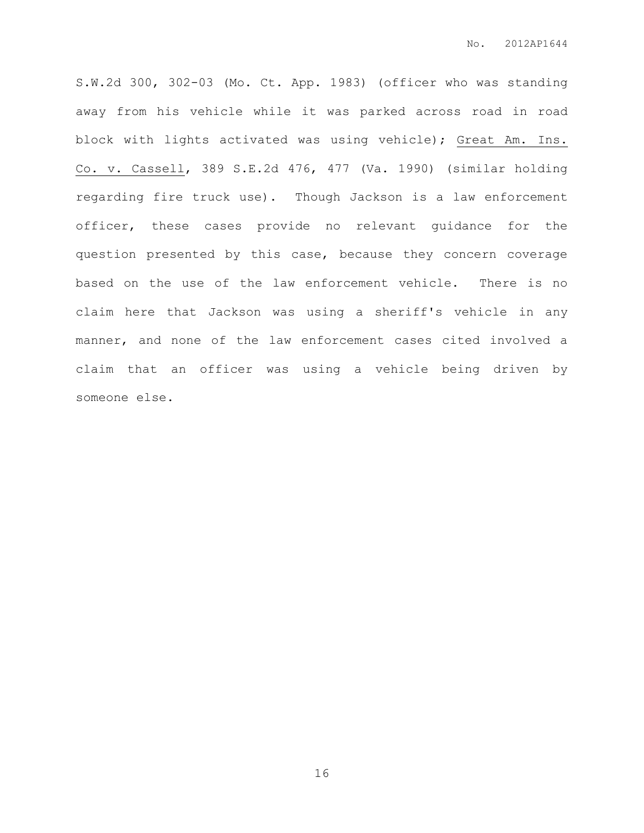S.W.2d 300, 302-03 (Mo. Ct. App. 1983) (officer who was standing away from his vehicle while it was parked across road in road block with lights activated was using vehicle); Great Am. Ins. Co. v. Cassell, 389 S.E.2d 476, 477 (Va. 1990) (similar holding regarding fire truck use). Though Jackson is a law enforcement officer, these cases provide no relevant guidance for the question presented by this case, because they concern coverage based on the use of the law enforcement vehicle. There is no claim here that Jackson was using a sheriff's vehicle in any manner, and none of the law enforcement cases cited involved a claim that an officer was using a vehicle being driven by someone else.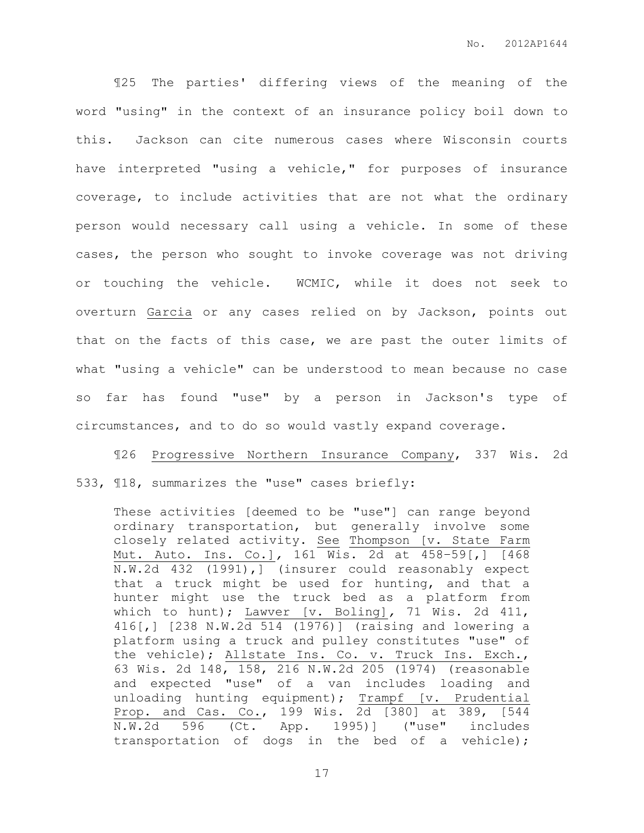¶25 The parties' differing views of the meaning of the word "using" in the context of an insurance policy boil down to this. Jackson can cite numerous cases where Wisconsin courts have interpreted "using a vehicle," for purposes of insurance coverage, to include activities that are not what the ordinary person would necessary call using a vehicle. In some of these cases, the person who sought to invoke coverage was not driving or touching the vehicle. WCMIC, while it does not seek to overturn Garcia or any cases relied on by Jackson, points out that on the facts of this case, we are past the outer limits of what "using a vehicle" can be understood to mean because no case so far has found "use" by a person in Jackson's type of circumstances, and to do so would vastly expand coverage.

¶26 Progressive Northern Insurance Company, 337 Wis. 2d 533, ¶18, summarizes the "use" cases briefly:

These activities [deemed to be "use"] can range beyond ordinary transportation, but generally involve some closely related activity. See Thompson [v. State Farm Mut. Auto. Ins. Co.]*,* 161 Wis. 2d at 458–59[,] [468 N.W.2d 432 (1991),] (insurer could reasonably expect that a truck might be used for hunting, and that a hunter might use the truck bed as a platform from which to hunt); Lawver [v. Boling]*,* 71 Wis. 2d 411, 416[,] [238 N.W.2d 514 (1976)] (raising and lowering a platform using a truck and pulley constitutes "use" of the vehicle); Allstate Ins. Co. v. Truck Ins. Exch., 63 Wis. 2d 148, 158, 216 N.W.2d 205 (1974) (reasonable and expected "use" of a van includes loading and unloading hunting equipment); Trampf [v. Prudential Prop. and Cas. Co., 199 Wis. 2d [380] at 389, [544 N.W.2d 596 (Ct. App. 1995)] ("use" includes transportation of dogs in the bed of a vehicle);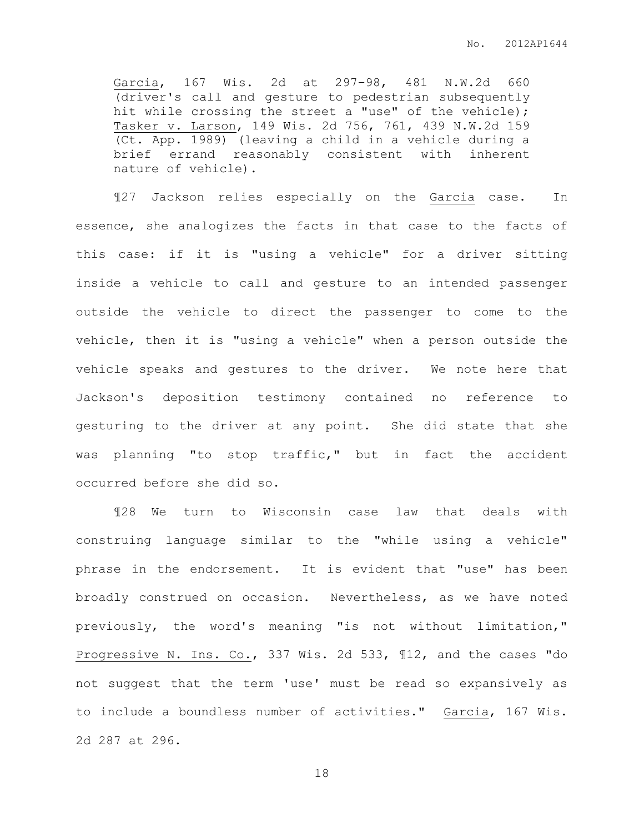Garcia, 167 Wis. 2d at 297–98, 481 N.W.2d 660 (driver's call and gesture to pedestrian subsequently hit while crossing the street a "use" of the vehicle); Tasker v. Larson, 149 Wis. 2d 756, 761, 439 N.W.2d 159 (Ct. App. 1989) (leaving a child in a vehicle during a brief errand reasonably consistent with inherent nature of vehicle).

¶27 Jackson relies especially on the Garcia case. In essence, she analogizes the facts in that case to the facts of this case: if it is "using a vehicle" for a driver sitting inside a vehicle to call and gesture to an intended passenger outside the vehicle to direct the passenger to come to the vehicle, then it is "using a vehicle" when a person outside the vehicle speaks and gestures to the driver. We note here that Jackson's deposition testimony contained no reference to gesturing to the driver at any point. She did state that she was planning "to stop traffic," but in fact the accident occurred before she did so.

¶28 We turn to Wisconsin case law that deals with construing language similar to the "while using a vehicle" phrase in the endorsement. It is evident that "use" has been broadly construed on occasion. Nevertheless, as we have noted previously, the word's meaning "is not without limitation," Progressive N. Ins. Co., 337 Wis. 2d 533, ¶12, and the cases "do not suggest that the term 'use' must be read so expansively as to include a boundless number of activities." Garcia, 167 Wis. 2d 287 at 296.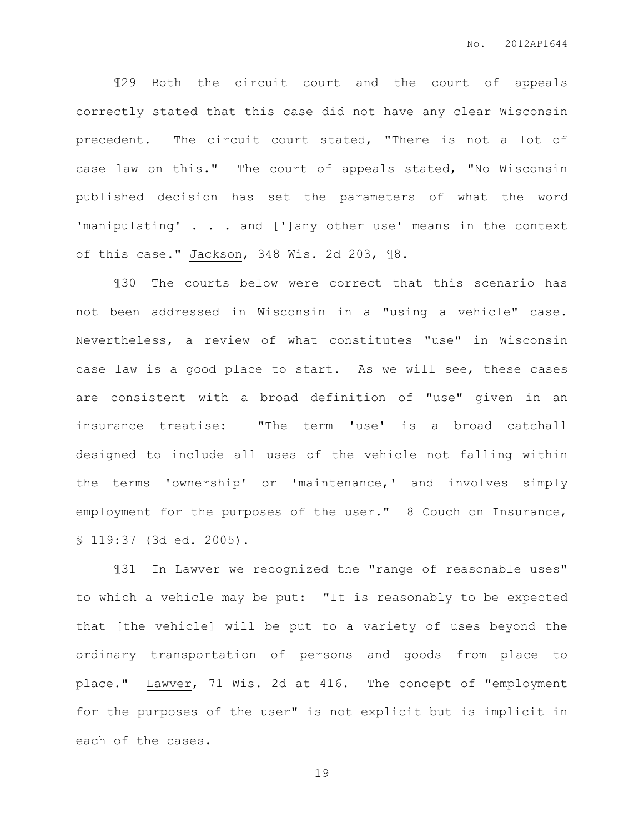¶29 Both the circuit court and the court of appeals correctly stated that this case did not have any clear Wisconsin precedent. The circuit court stated, "There is not a lot of case law on this." The court of appeals stated, "No Wisconsin published decision has set the parameters of what the word 'manipulating' . . . and [']any other use' means in the context of this case." Jackson, 348 Wis. 2d 203, ¶8.

¶30 The courts below were correct that this scenario has not been addressed in Wisconsin in a "using a vehicle" case. Nevertheless, a review of what constitutes "use" in Wisconsin case law is a good place to start. As we will see, these cases are consistent with a broad definition of "use" given in an insurance treatise: "The term 'use' is a broad catchall designed to include all uses of the vehicle not falling within the terms 'ownership' or 'maintenance,' and involves simply employment for the purposes of the user." 8 Couch on Insurance, § 119:37 (3d ed. 2005).

¶31 In Lawver we recognized the "range of reasonable uses" to which a vehicle may be put: "It is reasonably to be expected that [the vehicle] will be put to a variety of uses beyond the ordinary transportation of persons and goods from place to place." Lawver, 71 Wis. 2d at 416. The concept of "employment for the purposes of the user" is not explicit but is implicit in each of the cases.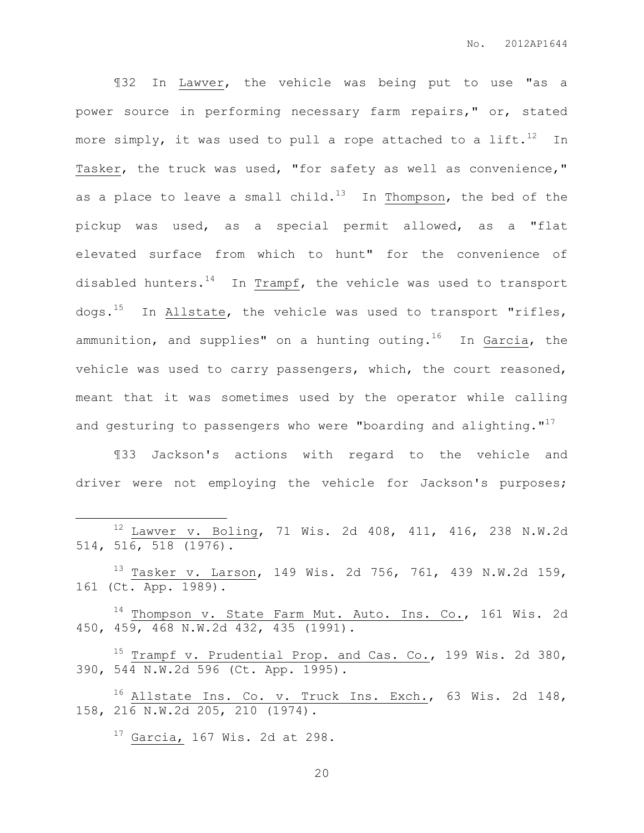¶32 In Lawver, the vehicle was being put to use "as a power source in performing necessary farm repairs," or, stated more simply, it was used to pull a rope attached to a lift.<sup>12</sup> In Tasker, the truck was used, "for safety as well as convenience," as a place to leave a small child.<sup>13</sup> In Thompson, the bed of the pickup was used, as a special permit allowed, as a "flat elevated surface from which to hunt" for the convenience of disabled hunters. $14$  In Trampf, the vehicle was used to transport dogs.<sup>15</sup> In Allstate, the vehicle was used to transport "rifles, ammunition, and supplies" on a hunting outing.<sup>16</sup> In  $Garcia$ , the vehicle was used to carry passengers, which, the court reasoned, meant that it was sometimes used by the operator while calling and gesturing to passengers who were "boarding and alighting."<sup>17</sup>

¶33 Jackson's actions with regard to the vehicle and driver were not employing the vehicle for Jackson's purposes;

| $12$ Lawver v. Boling, 71 Wis. 2d 408, 411, 416, 238 N.W.2d<br>$514, 516, 518 (1976)$ .                         |
|-----------------------------------------------------------------------------------------------------------------|
| <sup>13</sup> Tasker v. Larson, 149 Wis. 2d 756, 761, 439 N.W.2d 159,<br>161 (Ct. App. 1989).                   |
| <sup>14</sup> Thompson v. State Farm Mut. Auto. Ins. Co., 161 Wis. 2d<br>450, 459, 468 N.W.2d 432, 435 (1991).  |
| <sup>15</sup> Trampf v. Prudential Prop. and Cas. Co., 199 Wis. 2d 380,<br>390, 544 N.W.2d 596 (Ct. App. 1995). |
| <sup>16</sup> Allstate Ins. Co. v. Truck Ins. Exch., 63 Wis. 2d 148,<br>158, 216 N.W.2d 205, 210 (1974).        |

 $17$  Garcia, 167 Wis. 2d at 298.

 $\overline{a}$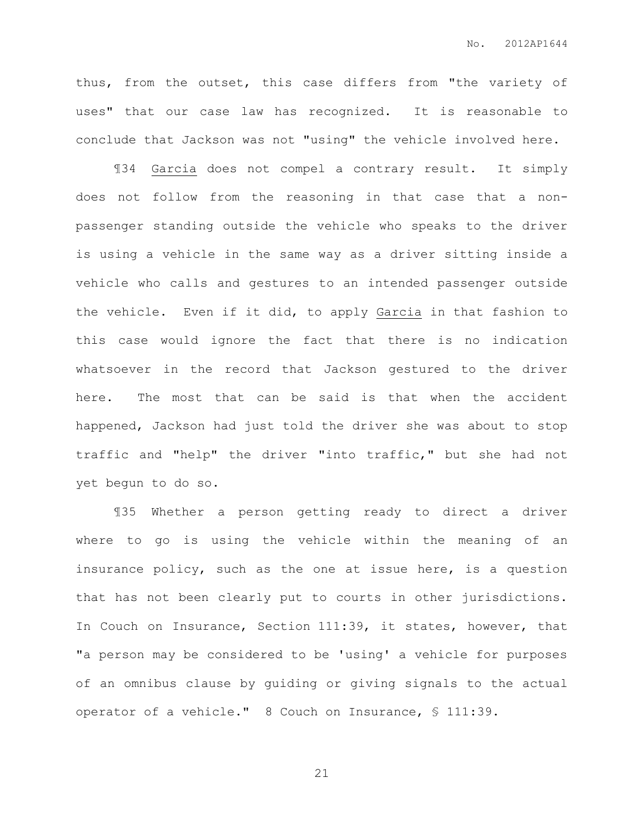thus, from the outset, this case differs from "the variety of uses" that our case law has recognized. It is reasonable to conclude that Jackson was not "using" the vehicle involved here.

¶34 Garcia does not compel a contrary result. It simply does not follow from the reasoning in that case that a nonpassenger standing outside the vehicle who speaks to the driver is using a vehicle in the same way as a driver sitting inside a vehicle who calls and gestures to an intended passenger outside the vehicle. Even if it did, to apply Garcia in that fashion to this case would ignore the fact that there is no indication whatsoever in the record that Jackson gestured to the driver here. The most that can be said is that when the accident happened, Jackson had just told the driver she was about to stop traffic and "help" the driver "into traffic," but she had not yet begun to do so.

¶35 Whether a person getting ready to direct a driver where to go is using the vehicle within the meaning of an insurance policy, such as the one at issue here, is a question that has not been clearly put to courts in other jurisdictions. In Couch on Insurance, Section 111:39, it states, however, that "a person may be considered to be 'using' a vehicle for purposes of an omnibus clause by guiding or giving signals to the actual operator of a vehicle." 8 Couch on Insurance, § 111:39.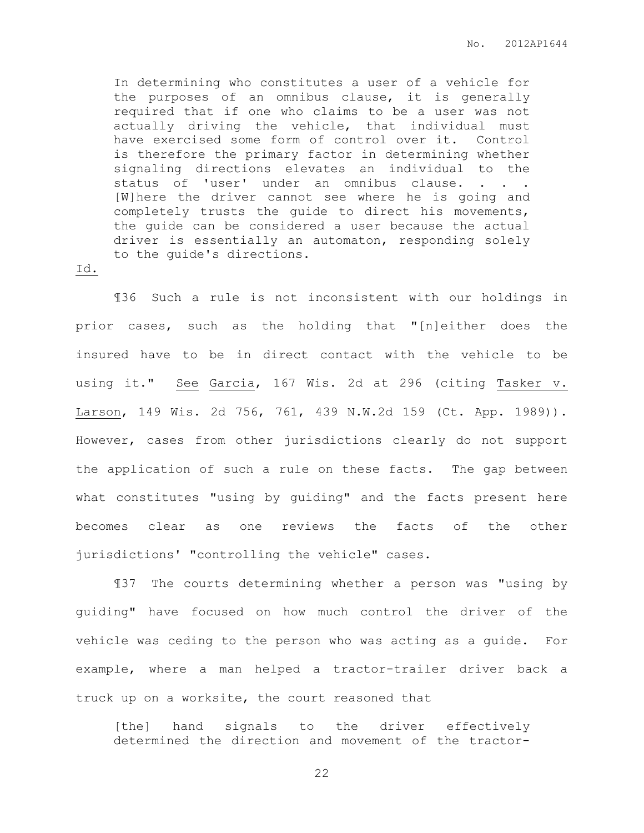In determining who constitutes a user of a vehicle for the purposes of an omnibus clause, it is generally required that if one who claims to be a user was not actually driving the vehicle, that individual must have exercised some form of control over it. Control is therefore the primary factor in determining whether signaling directions elevates an individual to the status of 'user' under an omnibus clause. . . . [W]here the driver cannot see where he is going and completely trusts the guide to direct his movements, the guide can be considered a user because the actual driver is essentially an automaton, responding solely to the guide's directions.

#### Id.

¶36 Such a rule is not inconsistent with our holdings in prior cases, such as the holding that "[n]either does the insured have to be in direct contact with the vehicle to be using it." See Garcia, 167 Wis. 2d at 296 (citing Tasker v. Larson, 149 Wis. 2d 756, 761, 439 N.W.2d 159 (Ct. App. 1989)). However, cases from other jurisdictions clearly do not support the application of such a rule on these facts. The gap between what constitutes "using by guiding" and the facts present here becomes clear as one reviews the facts of the other jurisdictions' "controlling the vehicle" cases.

¶37 The courts determining whether a person was "using by guiding" have focused on how much control the driver of the vehicle was ceding to the person who was acting as a guide. For example, where a man helped a tractor-trailer driver back a truck up on a worksite, the court reasoned that

[the] hand signals to the driver effectively determined the direction and movement of the tractor-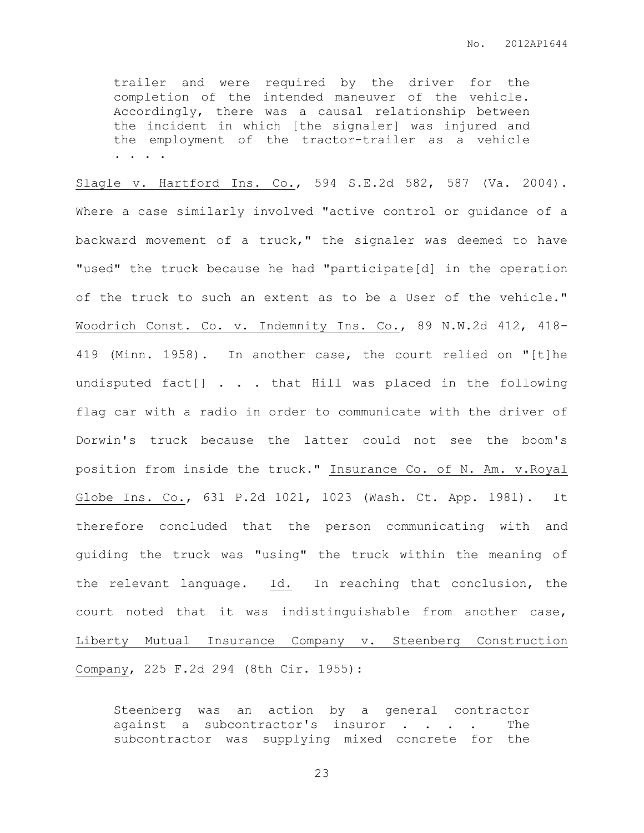trailer and were required by the driver for the completion of the intended maneuver of the vehicle. Accordingly, there was a causal relationship between the incident in which [the signaler] was injured and the employment of the tractor-trailer as a vehicle . . . .

Slagle v. Hartford Ins. Co., 594 S.E.2d 582, 587 (Va. 2004). Where a case similarly involved "active control or guidance of a backward movement of a truck," the signaler was deemed to have "used" the truck because he had "participate[d] in the operation of the truck to such an extent as to be a User of the vehicle." Woodrich Const. Co. v. Indemnity Ins. Co., 89 N.W.2d 412, 418- 419 (Minn. 1958). In another case, the court relied on "[t]he undisputed fact[] . . . that Hill was placed in the following flag car with a radio in order to communicate with the driver of Dorwin's truck because the latter could not see the boom's position from inside the truck." Insurance Co. of N. Am. v.Royal Globe Ins. Co., 631 P.2d 1021, 1023 (Wash. Ct. App. 1981). It therefore concluded that the person communicating with and guiding the truck was "using" the truck within the meaning of the relevant language. Id. In reaching that conclusion, the court noted that it was indistinguishable from another case, Liberty Mutual Insurance Company v. Steenberg Construction Company, 225 F.2d 294 (8th Cir. 1955):

Steenberg was an action by a general contractor against a subcontractor's insuror . . . . The subcontractor was supplying mixed concrete for the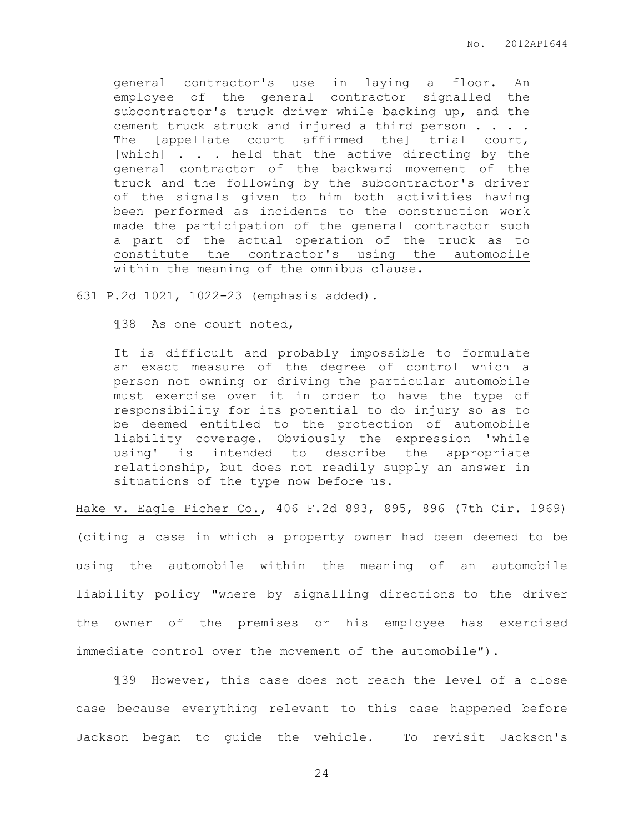general contractor's use in laying a floor. An employee of the general contractor signalled the subcontractor's truck driver while backing up, and the cement truck struck and injured a third person . . . . The [appellate court affirmed the] trial court, [which] . . . held that the active directing by the general contractor of the backward movement of the truck and the following by the subcontractor's driver of the signals given to him both activities having been performed as incidents to the construction work made the participation of the general contractor such a part of the actual operation of the truck as to constitute the contractor's using the automobile within the meaning of the omnibus clause.

## 631 P.2d 1021, 1022-23 (emphasis added).

¶38 As one court noted,

It is difficult and probably impossible to formulate an exact measure of the degree of control which a person not owning or driving the particular automobile must exercise over it in order to have the type of responsibility for its potential to do injury so as to be deemed entitled to the protection of automobile liability coverage. Obviously the expression 'while using' is intended to describe the appropriate relationship, but does not readily supply an answer in situations of the type now before us.

Hake v. Eagle Picher Co., 406 F.2d 893, 895, 896 (7th Cir. 1969)

(citing a case in which a property owner had been deemed to be using the automobile within the meaning of an automobile liability policy "where by signalling directions to the driver the owner of the premises or his employee has exercised immediate control over the movement of the automobile").

¶39 However, this case does not reach the level of a close case because everything relevant to this case happened before Jackson began to guide the vehicle. To revisit Jackson's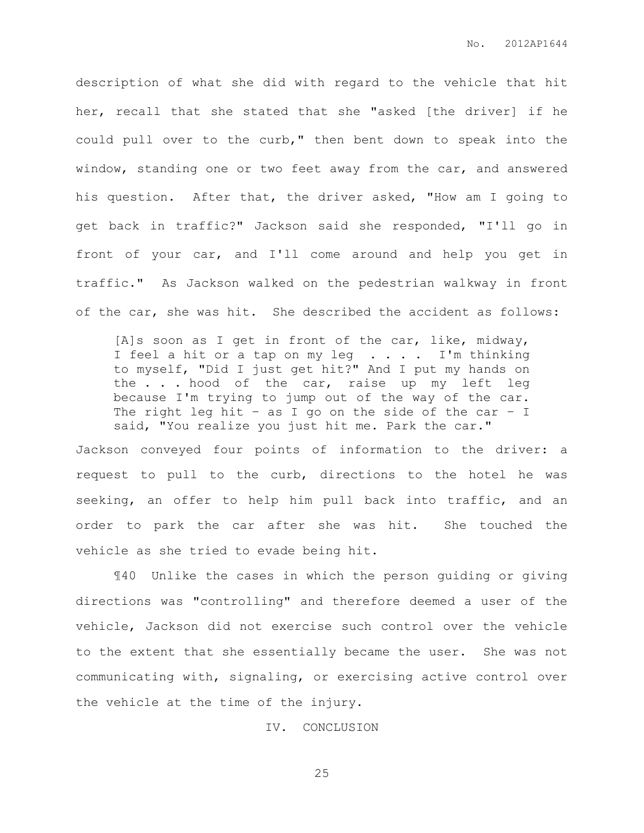description of what she did with regard to the vehicle that hit her, recall that she stated that she "asked [the driver] if he could pull over to the curb," then bent down to speak into the window, standing one or two feet away from the car, and answered his question. After that, the driver asked, "How am I going to get back in traffic?" Jackson said she responded, "I'll go in front of your car, and I'll come around and help you get in traffic." As Jackson walked on the pedestrian walkway in front of the car, she was hit. She described the accident as follows:

[A]s soon as I get in front of the car, like, midway, I feel a hit or a tap on my leg . . . . I'm thinking to myself, "Did I just get hit?" And I put my hands on the . . . hood of the car, raise up my left leg because I'm trying to jump out of the way of the car. The right leg hit – as I go on the side of the car – I said, "You realize you just hit me. Park the car."

Jackson conveyed four points of information to the driver: a request to pull to the curb, directions to the hotel he was seeking, an offer to help him pull back into traffic, and an order to park the car after she was hit. She touched the vehicle as she tried to evade being hit.

¶40 Unlike the cases in which the person guiding or giving directions was "controlling" and therefore deemed a user of the vehicle, Jackson did not exercise such control over the vehicle to the extent that she essentially became the user. She was not communicating with, signaling, or exercising active control over the vehicle at the time of the injury.

IV. CONCLUSION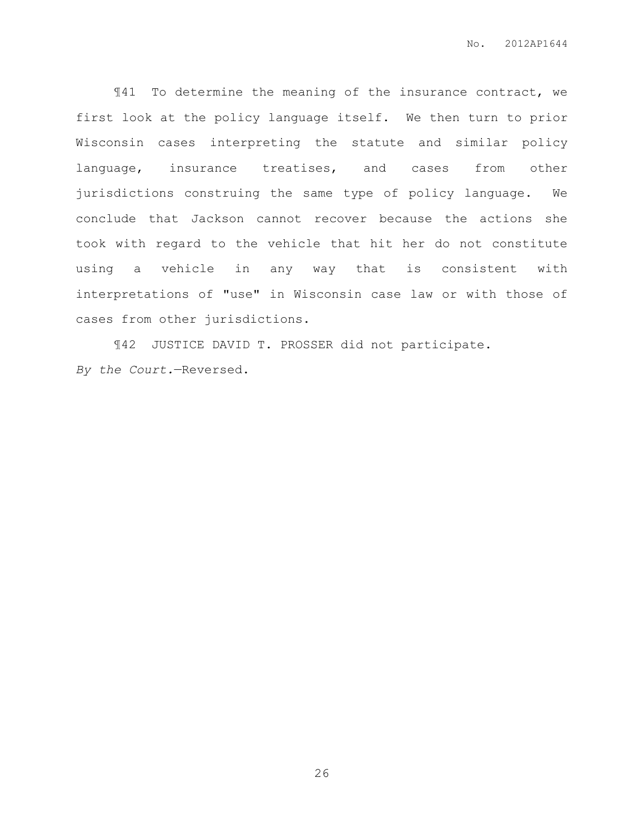¶41 To determine the meaning of the insurance contract, we first look at the policy language itself. We then turn to prior Wisconsin cases interpreting the statute and similar policy language, insurance treatises, and cases from other jurisdictions construing the same type of policy language. We conclude that Jackson cannot recover because the actions she took with regard to the vehicle that hit her do not constitute using a vehicle in any way that is consistent with interpretations of "use" in Wisconsin case law or with those of cases from other jurisdictions.

¶42 JUSTICE DAVID T. PROSSER did not participate. *By the Court.*—Reversed.